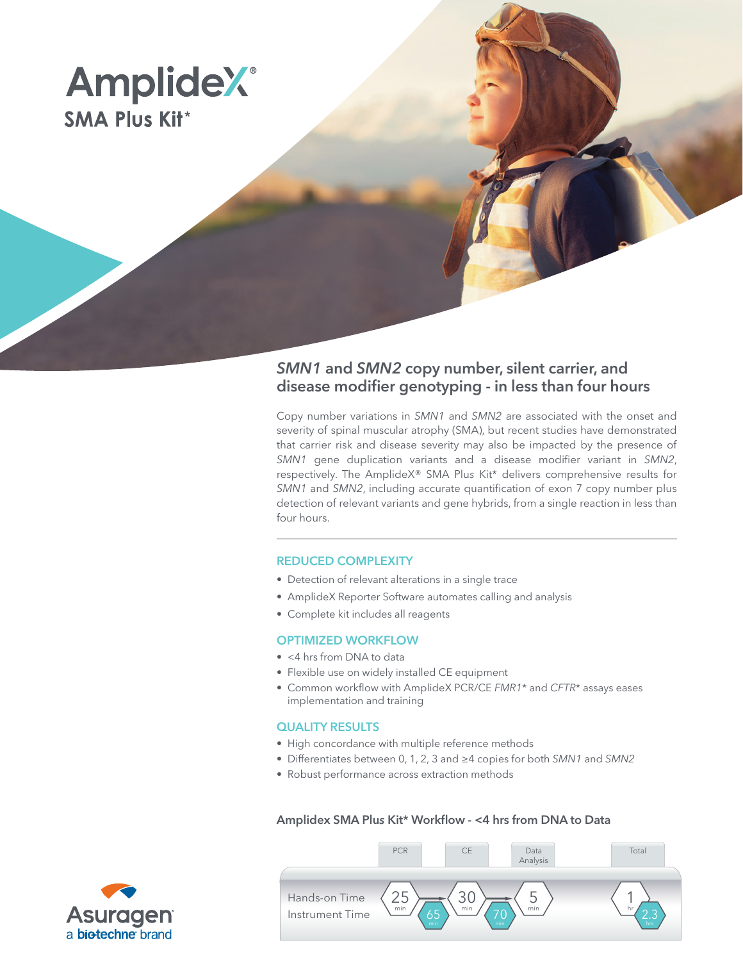

# *SMN1* and *SMN2* copy number, silent carrier, and disease modifier genotyping - in less than four hours

Copy number variations in *SMN1* and *SMN2* are associated with the onset and severity of spinal muscular atrophy (SMA), but recent studies have demonstrated that carrier risk and disease severity may also be impacted by the presence of *SMN1* gene duplication variants and a disease modifier variant in *SMN2*, respectively. The AmplideX® SMA Plu*s* Kit\* delivers comprehensive results for *SMN1* and *SMN2*, including accurate quantification of exon 7 copy number plus detection of relevant variants and gene hybrids, from a single reaction in less than four hours.

## REDUCED COMPLEXITY

- Detection of relevant alterations in a single trace
- AmplideX Reporter Software automates calling and analysis
- Complete kit includes all reagents

## OPTIMIZED WORKFLOW

- <4 hrs from DNA to data
- Flexible use on widely installed CE equipment
- Common workflow with AmplideX PCR/CE *FMR1*\* and *CFTR*\* assays eases implementation and training

## QUALITY RESULTS

- High concordance with multiple reference methods
- Differentiates between 0, 1, 2, 3 and ≥4 copies for both *SMN1* and *SMN2*
- Robust performance across extraction methods

## Amplidex SMA Plu*s* Kit\* Workflow - <4 hrs from DNA to Data